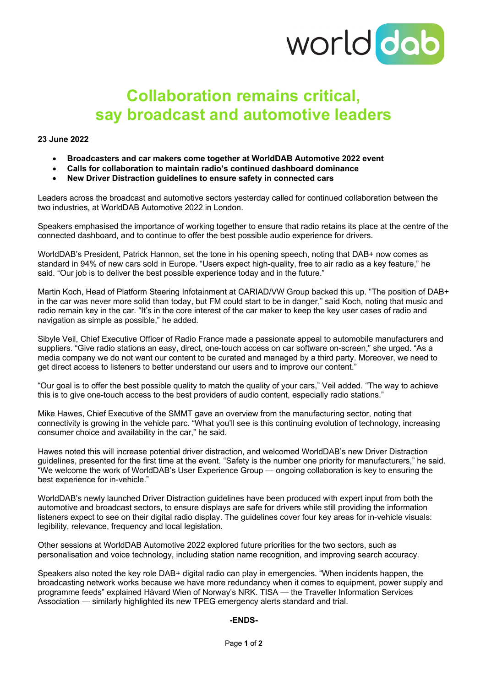

# **Collaboration remains critical, say broadcast and automotive leaders**

### **23 June 2022**

- **Broadcasters and car makers come together at WorldDAB Automotive 2022 event**
- **Calls for collaboration to maintain radio's continued dashboard dominance**
- **New Driver Distraction guidelines to ensure safety in connected cars**

Leaders across the broadcast and automotive sectors yesterday called for continued collaboration between the two industries, at WorldDAB Automotive 2022 in London.

Speakers emphasised the importance of working together to ensure that radio retains its place at the centre of the connected dashboard, and to continue to offer the best possible audio experience for drivers.

WorldDAB's President, Patrick Hannon, set the tone in his opening speech, noting that DAB+ now comes as standard in 94% of new cars sold in Europe. "Users expect high-quality, free to air radio as a key feature," he said. "Our job is to deliver the best possible experience today and in the future."

Martin Koch, Head of Platform Steering Infotainment at CARIAD/VW Group backed this up. "The position of DAB+ in the car was never more solid than today, but FM could start to be in danger," said Koch, noting that music and radio remain key in the car. "It's in the core interest of the car maker to keep the key user cases of radio and navigation as simple as possible," he added.

Sibyle Veil, Chief Executive Officer of Radio France made a passionate appeal to automobile manufacturers and suppliers. "Give radio stations an easy, direct, one-touch access on car software on-screen," she urged. "As a media company we do not want our content to be curated and managed by a third party. Moreover, we need to get direct access to listeners to better understand our users and to improve our content."

"Our goal is to offer the best possible quality to match the quality of your cars," Veil added. "The way to achieve this is to give one-touch access to the best providers of audio content, especially radio stations."

Mike Hawes, Chief Executive of the SMMT gave an overview from the manufacturing sector, noting that connectivity is growing in the vehicle parc. "What you'll see is this continuing evolution of technology, increasing consumer choice and availability in the car," he said.

Hawes noted this will increase potential driver distraction, and welcomed WorldDAB's new Driver Distraction guidelines, presented for the first time at the event. "Safety is the number one priority for manufacturers," he said. "We welcome the work of WorldDAB's User Experience Group — ongoing collaboration is key to ensuring the best experience for in-vehicle."

WorldDAB's newly launched Driver Distraction guidelines have been produced with expert input from both the automotive and broadcast sectors, to ensure displays are safe for drivers while still providing the information listeners expect to see on their digital radio display. The guidelines cover four key areas for in-vehicle visuals: legibility, relevance, frequency and local legislation.

Other sessions at WorldDAB Automotive 2022 explored future priorities for the two sectors, such as personalisation and voice technology, including station name recognition, and improving search accuracy.

Speakers also noted the key role DAB+ digital radio can play in emergencies. "When incidents happen, the broadcasting network works because we have more redundancy when it comes to equipment, power supply and programme feeds" explained Håvard Wien of Norway's NRK. TISA — the Traveller Information Services Association — similarly highlighted its new TPEG emergency alerts standard and trial.

#### **-ENDS-**